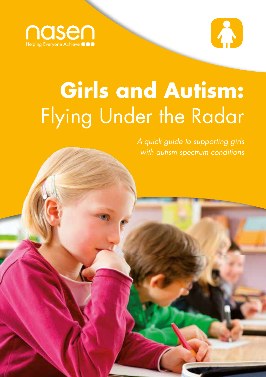



# **Girls and Autism:**  Flying Under the Radar

*A quick guide to supporting girls with autism spectrum conditions*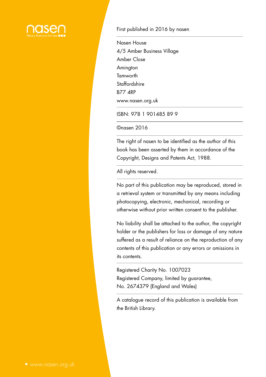

#### First published in 2016 by nasen

Nasen House 4/5 Amber Business Village Amber Close **Amington Tamworth** Staffordshire B77 4RP www.nasen.org.uk

ISBN: 978 1 901485 89 9

©nasen 2016

The right of nasen to be identified as the author of this book has been asserted by them in accordance of the Copyright, Designs and Patents Act, 1988.

All rights reserved.

No part of this publication may be reproduced, stored in a retrieval system or transmitted by any means including photocopying, electronic, mechanical, recording or otherwise without prior written consent to the publisher.

No liability shall be attached to the author, the copyright holder or the publishers for loss or damage of any nature suffered as a result of reliance on the reproduction of any contents of this publication or any errors or omissions in its contents.

Registered Charity No. 1007023 Registered Company, limited by guarantee, No. 2674379 (England and Wales)

A catalogue record of this publication is available from the British Library.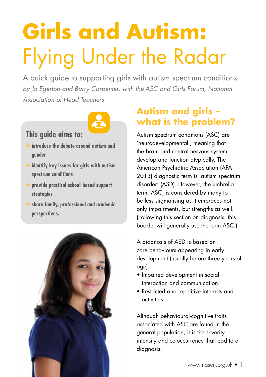# **Girls and Autism:**  Flying Under the Radar

A quick guide to supporting girls with autism spectrum conditions *by Jo Egerton and Barry Carpenter, with the ASC and Girls Forum, National Association of Head Teachers*



## **This guide aims to:**

- **+ introduce the debate around autism and gender**
- **+ identify key issues for girls with autism spectrum conditions**
- **+ provide practical school-based support strategies**
- **+ share family, professional and academic perspectives.**



# **Autism and girls – what is the problem?**

Autism spectrum conditions (ASC) are 'neurodevelopmental', meaning that the brain and central nervous system develop and function atypically. The American Psychiatric Association (APA 2013) diagnostic term is 'autism spectrum disorder' (ASD). However, the umbrella term, ASC, is considered by many to be less stigmatising as it embraces not only impairments, but strengths as well. (Following this section on diagnosis, this booklet will generally use the term ASC.)

A diagnosis of ASD is based on core behaviours appearing in early development (usually before three years of age):

- Impaired development in social interaction and communication
- Restricted and repetitive interests and activities.

Although behavioural-cognitive traits associated with ASC are found in the general population, it is the severity, intensity and co-occurrence that lead to a diagnosis.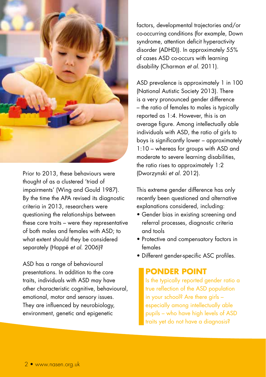

Prior to 2013, these behaviours were thought of as a clustered 'triad of impairments' (Wing and Gould 1987). By the time the APA revised its diagnostic criteria in 2013, researchers were questioning the relationships between these core traits – were they representative of both males and females with ASD; to what extent should they be considered separately (Happé *et al.* 2006)?

ASD has a range of behavioural presentations. In addition to the core traits, individuals with ASD may have other characteristic cognitive, behavioural, emotional, motor and sensory issues. They are influenced by neurobiology, environment, genetic and epigenetic

factors, developmental trajectories and/or co-occurring conditions (for example, Down syndrome, attention deficit hyperactivity disorder (ADHD)). In approximately 55% of cases ASD co-occurs with learning disability (Charman *et al.* 2011).

ASD prevalence is approximately 1 in 100 (National Autistic Society 2013). There is a very pronounced gender difference – the ratio of females to males is typically reported as 1:4. However, this is an average figure. Among intellectually able individuals with ASD, the ratio of girls to boys is significantly lower – approximately 1:10 – whereas for groups with ASD and moderate to severe learning disabilities, the ratio rises to approximately 1:2 (Dworzynski *et al.* 2012).

This extreme gender difference has only recently been questioned and alternative explanations considered, including:

- Gender bias in existing screening and referral processes, diagnostic criteria and tools
- Protective and compensatory factors in females
- Different gender-specific ASC profiles.

#### **PONDER POINT**

Is the typically reported gender ratio a true reflection of the ASD population in your school? Are there girls – especially among intellectually able pupils – who have high levels of ASD traits yet do not have a diagnosis?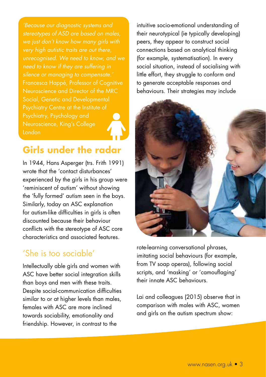*'Because our diagnostic systems and stereotypes of ASD are based on males, we just don't know how many girls with very high autistic traits are out there, unrecognised. We need to know, and we need to know if they are suffering in*  Francesca Happé, Professor of Cognitive Neuroscience and Director of the MRC Social, Genetic and Developmental Psychiatry Centre at the Institute of Neuroscience, King's College London

## **Girls under the radar**

In 1944, Hans Asperger (trs. Frith 1991) wrote that the 'contact disturbances' experienced by the girls in his group were 'reminiscent of autism' without showing the 'fully formed' autism seen in the boys. Similarly, today an ASC explanation for autism-like difficulties in girls is often discounted because their behaviour conflicts with the stereotype of ASC core characteristics and associated features.

### 'She is too sociable'

Intellectually able girls and women with ASC have better social integration skills than boys and men with these traits. Despite social-communication difficulties similar to or at higher levels than males, females with ASC are more inclined towards sociability, emotionality and friendship. However, in contrast to the

intuitive socio-emotional understanding of their neurotypical (ie typically developing) peers, they appear to construct social connections based on analytical thinking (for example, systematisation). In every social situation, instead of socialising with little effort, they struggle to conform and to generate acceptable responses and behaviours. Their strategies may include



rote-learning conversational phrases, imitating social behaviours (for example, from TV soap operas), following social scripts, and 'masking' or 'camouflaging' their innate ASC behaviours.

Lai and colleagues (2015) observe that in comparison with males with ASC, women and girls on the autism spectrum show: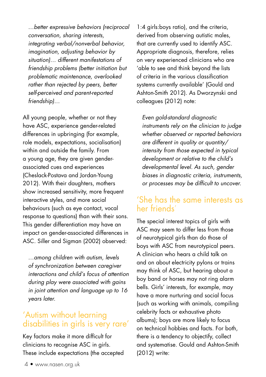*…better expressive behaviors (reciprocal conversation, sharing interests, integrating verbal/nonverbal behavior, imagination, adjusting behavior by situation)… different manifestations of friendship problems (better initiation but problematic maintenance, overlooked rather than rejected by peers, better self-perceived and parent-reported friendship)…*

All young people, whether or not they have ASC, experience gender-related differences in upbringing (for example, role models, expectations, socialisation) within and outside the family. From a young age, they are given genderassociated cues and experiences (Cheslack-Postava and Jordan-Young 2012). With their daughters, mothers show increased sensitivity, more frequent interactive styles, and more social behaviours (such as eye contact, vocal response to questions) than with their sons. This gender differentiation may have an impact on gender-associated differences in ASC. Siller and Sigman (2002) observed:

*…among children with autism, levels of synchronization between caregiver interactions and child's focus of attention during play were associated with gains in joint attention and language up to 16 years later.*

#### 'Autism without learning disabilities in girls is very rare'

Key factors make it more difficult for clinicians to recognise ASC in girls. These include expectations (the accepted

1:4 girls:boys ratio), and the criteria, derived from observing autistic males, that are currently used to identify ASC. Appropriate diagnosis, therefore, relies on very experienced clinicians who are 'able to see and think beyond the lists of criteria in the various classification systems currently available' (Gould and Ashton-Smith 2012). As Dworzynski and colleagues (2012) note:

*Even gold-standard diagnostic instruments rely on the clinician to judge whether observed or reported behaviors are different in quality or quantity/ intensity from those expected in typical development or relative to the child's developmental level. As such, gender biases in diagnostic criteria, instruments, or processes may be difficult to uncover.*

#### 'She has the same interests as her friends'

The special interest topics of girls with ASC may seem to differ less from those of neurotypical girls than do those of boys with ASC from neurotypical peers. A clinician who hears a child talk on and on about electricity pylons or trains may think of ASC, but hearing about a boy band or horses may not ring alarm bells. Girls' interests, for example, may have a more nurturing and social focus (such as working with animals, compiling celebrity facts or exhaustive photo albums); boys are more likely to focus on technical hobbies and facts. For both, there is a tendency to objectify, collect and systematise. Gould and Ashton-Smith (2012) write: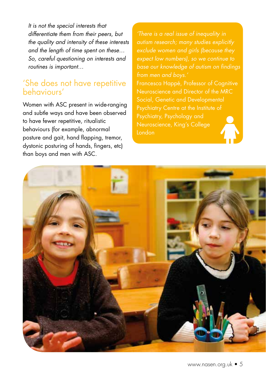*It is not the special interests that differentiate them from their peers, but the quality and intensity of these interests and the length of time spent on these… So, careful questioning on interests and routines is important…*

### 'She does not have repetitive behaviours'

Women with ASC present in wide-ranging and subtle ways and have been observed to have fewer repetitive, ritualistic behaviours (for example, abnormal posture and gait, hand flapping, tremor, dystonic posturing of hands, fingers, etc) than boys and men with ASC.

*'There is a real issue of inequality in autism research; many studies explicitly expect low numbers), so we continue to base our knowledge of autism on findings from men and boys.'* Francesca Happé, Professor of Cognitive Neuroscience and Director of the MRC Psychiatry Centre at the Institute of Neuroscience, King's College London

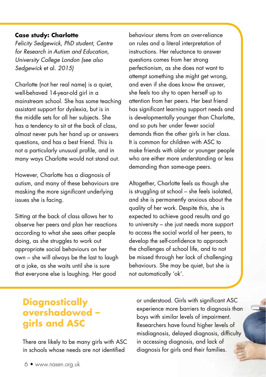#### **Case study: Charlotte**

*Felicity Sedgewick, PhD student, Centre for Research in Autism and Education, University College London (see also Sedgewick* et al. *2015)*

Charlotte (not her real name) is a quiet, well-behaved 14-year-old girl in a mainstream school. She has some teaching assistant support for dyslexia, but is in the middle sets for all her subjects. She has a tendency to sit at the back of class, almost never puts her hand up or answers questions, and has a best friend. This is not a particularly unusual profile, and in many ways Charlotte would not stand out.

However, Charlotte has a diagnosis of autism, and many of these behaviours are masking the more significant underlying issues she is facing.

Sitting at the back of class allows her to observe her peers and plan her reactions according to what she sees other people doing, as she struggles to work out appropriate social behaviours on her own – she will always be the last to laugh at a joke, as she waits until she is sure that everyone else is laughing. Her good

behaviour stems from an over-reliance on rules and a literal interpretation of instructions. Her reluctance to answer questions comes from her strong perfectionism, as she does not want to attempt something she might get wrong, and even if she does know the answer, she feels too shy to open herself up to attention from her peers. Her best friend has significant learning support needs and is developmentally younger than Charlotte, and so puts her under fewer social demands than the other girls in her class. It is common for children with ASC to make friends with older or younger people who are either more understanding or less demanding than same-age peers.

Altogether, Charlotte feels as though she is struggling at school – she feels isolated, and she is permanently anxious about the quality of her work. Despite this, she is expected to achieve good results and go to university – she just needs more support to access the social world of her peers, to develop the self-confidence to approach the challenges of school life, and to not be missed through her lack of challenging behaviours. She may be quiet, but she is not automatically 'ok'.

# **Diagnostically overshadowed – girls and ASC**

There are likely to be many girls with ASC in schools whose needs are not identified

or understood. Girls with significant ASC experience more barriers to diagnosis than boys with similar levels of impairment. Researchers have found higher levels of misdiagnosis, delayed diagnosis, difficulty in accessing diagnosis, and lack of diagnosis for girls and their families.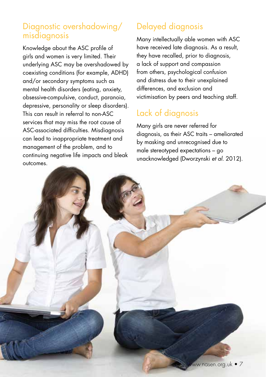### Diagnostic overshadowing/ misdiagnosis

Knowledge about the ASC profile of girls and women is very limited. Their underlying ASC may be overshadowed by coexisting conditions (for example, ADHD) and/or secondary symptoms such as mental health disorders (eating, anxiety, obsessive-compulsive, conduct, paranoia, depressive, personality or sleep disorders). This can result in referral to non-ASC services that may miss the root cause of ASC-associated difficulties. Misdiagnosis can lead to inappropriate treatment and management of the problem, and to continuing negative life impacts and bleak outcomes.

# Delayed diagnosis

Many intellectually able women with ASC have received late diagnosis. As a result, they have recalled, prior to diagnosis, a lack of support and compassion from others, psychological confusion and distress due to their unexplained differences, and exclusion and victimisation by peers and teaching staff.

# Lack of diagnosis

Many girls are never referred for diagnosis, as their ASC traits – ameliorated by masking and unrecognised due to male stereotyped expectations – go unacknowledged (Dworzynski *et al.* 2012).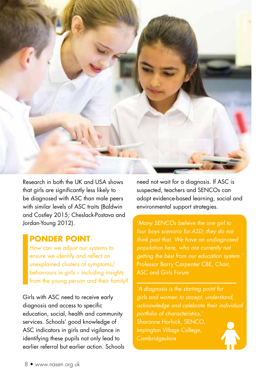

Research in both the UK and USA shows that girls are significantly less likely to be diagnosed with ASC than male peers with similar levels of ASC traits (Baldwin and Costley 2015; Cheslack-Postava and Jordan-Young 2012).

#### **PONDER POINT**

How can we adjust our systems to ensure we identify and reflect on unexplained clusters of symptoms/ behaviours in girls – including insights from the young person and their family?

Girls with ASC need to receive early diagnosis and access to specific education, social, health and community services. Schools' good knowledge of ASC indicators in girls and vigilance in identifying these pupils not only lead to earlier referral but earlier action. Schools need not wait for a diagnosis. If ASC is suspected, teachers and SENCOs can adopt evidence-based learning, social and environmental support strategies.

*'Many SENCOs believe the one girl to four boys scenario for ASD; they do not think past that. We have an undiagnosed*  Professor Barry Carpenter CBE, Chair, **ASC and Girls Forum** 

*'A diagnosis is the starting point for girls and women to accept, understand, acknowledge and celebrate their individual portfolio of characteristics.'* Sharonne Horlock, SENCO, Impington Village College, **Cambridgeshire**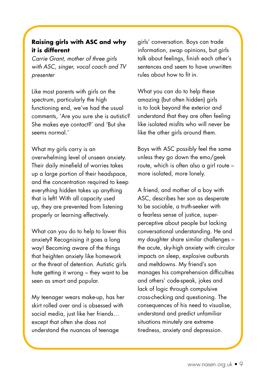#### **Raising girls with ASC and why it is different**

*Carrie Grant, mother of three girls with ASC, singer, vocal coach and TV presenter*

Like most parents with girls on the spectrum, particularly the high functioning end, we've had the usual comments, 'Are you sure she is autistic? She makes eye contact?' and 'But she seems normal.'

What my airls carry is an overwhelming level of unseen anxiety. Their daily minefield of worries takes up a large portion of their headspace, and the concentration required to keep everything hidden takes up anything that is left! With all capacity used up, they are prevented from listening properly or learning effectively.

What can you do to help to lower this anxiety? Recognising it goes a long way! Becoming aware of the things that heighten anxiety like homework or the threat of detention. Autistic girls hate getting it wrong – they want to be seen as smart and popular.

My teenager wears make-up, has her skirt rolled over and is obsessed with social media, just like her friends… except that often she does not understand the nuances of teenage

girls' conversation. Boys can trade information, swap opinions, but girls talk about feelings, finish each other's sentences and seem to have unwritten rules about how to fit in.

What you can do to help these amazing (but often hidden) girls is to look beyond the exterior and understand that they are often feeling like isolated misfits who will never be like the other airls around them.

Boys with ASC possibly feel the same unless they go down the emo/geek route, which is often also a girl route – more isolated, more lonely.

A friend, and mother of a boy with ASC, describes her son as desperate to be sociable, a truth-seeker with a fearless sense of justice, superperceptive about people but lacking conversational understanding. He and my daughter share similar challenges – the acute, sky-high anxiety with circular impacts on sleep, explosive outbursts and meltdowns. My friend's son manages his comprehension difficulties and others' code-speak, jokes and lack of logic through compulsive cross-checking and questioning. The consequences of his need to visualise, understand and predict unfamiliar situations minutely are extreme tiredness, anxiety and depression.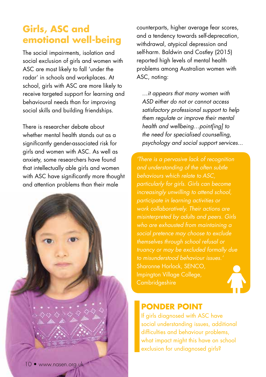# **Girls, ASC and emotional well-being**

The social impairments, isolation and social exclusion of girls and women with ASC are most likely to fall 'under the radar' in schools and workplaces. At school, girls with ASC are more likely to receive targeted support for learning and behavioural needs than for improving social skills and building friendships.

There is researcher debate about whether mental health stands out as a significantly gender-associated risk for girls and women with ASC. As well as anxiety, some researchers have found that intellectually able girls and women with ASC have significantly more thought and attention problems than their male

counterparts, higher average fear scores, and a tendency towards self-deprecation, withdrawal, atypical depression and self-harm. Baldwin and Costley (2015) reported high levels of mental health problems among Australian women with ASC, noting:

*…it appears that many women with ASD either do not or cannot access satisfactory professional support to help them regulate or improve their mental health and wellbeing…point[ing] to the need for specialised counselling, psychology and social support services...* 

*'There is a pervasive lack of recognition and understanding of the often subtle behaviours which relate to ASC, particularly for girls. Girls can become increasingly unwilling to attend school, work collaboratively. Their actions are who are exhausted from maintaining a social pretence may choose to exclude themselves through school refusal or truancy or may be excluded formally due to misunderstood behaviour issues.'*  Sharonne Horlock, SENCO, Impington Village College, **Cambridgeshire** 

### **PONDER POINT**

If girls diagnosed with ASC have social understanding issues, additional difficulties and behaviour problems, what impact might this have on school exclusion for undiagnosed girls?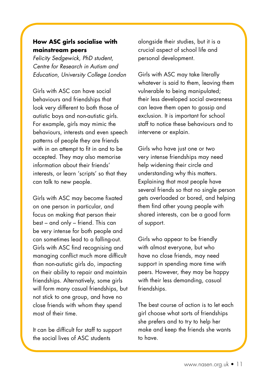#### **How ASC girls socialise with mainstream peers**

*Felicity Sedgewick, PhD student, Centre for Research in Autism and Education, University College London*

Girls with ASC can have social behaviours and friendships that look very different to both those of autistic boys and non-autistic girls. For example, girls may mimic the behaviours, interests and even speech patterns of people they are friends with in an attempt to fit in and to be accepted. They may also memorise information about their friends' interests, or learn 'scripts' so that they can talk to new people.

Girls with ASC may become fixated on one person in particular, and focus on making that person their best – and only – friend. This can be very intense for both people and can sometimes lead to a falling-out. Girls with ASC find recognising and managing conflict much more difficult than non-autistic girls do, impacting on their ability to repair and maintain friendships. Alternatively, some girls will form many casual friendships, but not stick to one group, and have no close friends with whom they spend most of their time.

It can be difficult for staff to support the social lives of ASC students

alongside their studies, but it is a crucial aspect of school life and personal development.

Girls with ASC may take literally whatever is said to them, leaving them vulnerable to being manipulated; their less developed social awareness can leave them open to gossip and exclusion. It is important for school staff to notice these behaviours and to intervene or explain.

Girls who have just one or two very intense friendships may need help widening their circle and understanding why this matters. Explaining that most people have several friends so that no single person gets overloaded or bored, and helping them find other young people with shared interests, can be a good form of support.

Girls who appear to be friendly with almost everyone, but who have no close friends, may need support in spending more time with peers. However, they may be happy with their less demanding, casual friendships.

The best course of action is to let each girl choose what sorts of friendships she prefers and to try to help her make and keep the friends she wants to have.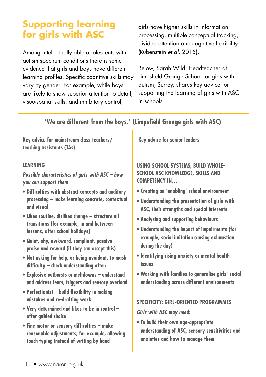# **Supporting learning for girls with ASC**

Among intellectually able adolescents with autism spectrum conditions there is some evidence that girls and boys have different learning profiles. Specific cognitive skills may vary by gender. For example, while boys are likely to show superior attention to detail, visuo-spatial skills, and inhibitory control,

girls have higher skills in information processing, multiple conceptual tracking, divided attention and cognitive flexibility (Rubenstein *et al.* 2015).

Below, Sarah Wild, Headteacher at Limpsfield Grange School for girls with autism, Surrey, shares key advice for supporting the learning of girls with ASC in schools.

| Key advice for mainstream class teachers/<br>teaching assistants (TAs)                                                                                                                                                                                                                                                                                                                                                                                                                                                                                                                                                                                                                                                                                                                                                                                                                                                                                          | <b>Key advice for senior leaders</b>                                                                                                                                                                                                                                                                                                                                                                                                                                                                                                                                                                                                                                                                                                                                                                  |
|-----------------------------------------------------------------------------------------------------------------------------------------------------------------------------------------------------------------------------------------------------------------------------------------------------------------------------------------------------------------------------------------------------------------------------------------------------------------------------------------------------------------------------------------------------------------------------------------------------------------------------------------------------------------------------------------------------------------------------------------------------------------------------------------------------------------------------------------------------------------------------------------------------------------------------------------------------------------|-------------------------------------------------------------------------------------------------------------------------------------------------------------------------------------------------------------------------------------------------------------------------------------------------------------------------------------------------------------------------------------------------------------------------------------------------------------------------------------------------------------------------------------------------------------------------------------------------------------------------------------------------------------------------------------------------------------------------------------------------------------------------------------------------------|
| <b>LEARNING</b><br>Possible characteristics of girls with ASC - how<br>you can support them<br>· Difficulties with abstract concepts and auditory<br>processing - make learning concrete, contextual<br>and visual<br>· Likes routine, dislikes change - structure all<br>transitions (for example, in and between<br>lessons, after school holidays)<br>. Quiet, shy, awkward, compliant, passive -<br>praise and reward (if they can accept this)<br>. Not asking for help, or being avoidant, to mask<br>difficulty - check understanding often<br>• Explosive outbursts or meltdowns - understand<br>and address fears, triggers and sensory overload<br>• Perfectionist - build flexibility in making<br>mistakes and re-drafting work<br>. Very determined and likes to be in control -<br>offer guided choice<br>• Fine motor or sensory difficulties - make<br>reasonable adjustments; for example, allowing<br>touch typing instead of writing by hand | USING SCHOOL SYSTEMS, BUILD WHOLE-<br><b>SCHOOL ASC KNOWLEDGE, SKILLS AND</b><br><b>COMPETENCY IN</b><br>• Creating an 'enabling' school environment<br>. Understanding the presentation of girls with<br>ASC, their strengths and special interests<br>• Analysing and supporting behaviours<br>. Understanding the impact of impairments (for<br>example, social imitation causing exhaustion<br>during the day)<br>• Identifying rising anxiety or mental health<br>issues<br>. Working with families to generalise girls' social<br>understanding across different environments<br><b>SPECIFICITY: GIRL-ORIENTED PROGRAMMES</b><br><b>Girls with ASC may need:</b><br>. To build their own age-appropriate<br>understanding of ASC, sensory sensitivities and<br>anxieties and how to manage them |
|                                                                                                                                                                                                                                                                                                                                                                                                                                                                                                                                                                                                                                                                                                                                                                                                                                                                                                                                                                 |                                                                                                                                                                                                                                                                                                                                                                                                                                                                                                                                                                                                                                                                                                                                                                                                       |

#### **'We are different from the boys.' (Limpsfield Grange girls with ASC)**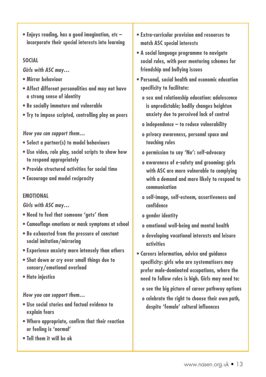**• Enjoys reading, has a good imagination, etc – incorporate their special interests into learning**

#### **SOCIAL**

**Girls with ASC may…**

- **Mirror behaviour**
- **Affect different personalities and may not have a strong sense of identity**
- **Be socially immature and vulnerable**
- **Try to impose scripted, controlling play on peers**

#### **How you can support them…**

- **Select a partner(s) to model behaviours**
- **Use video, role play, social scripts to show how to respond appropriately**
- **Provide structured activities for social time**
- **Encourage and model reciprocity**

#### **EMOTIONAL**

**Girls with ASC may…**

- **Need to feel that someone 'gets' them**
- **Camouflage emotions or mask symptoms at school**
- **Be exhausted from the pressure of constant social imitation/mirroring**
- **Experience anxiety more intensely than others**
- **Shut down or cry over small things due to sensory/emotional overload**
- **Hate injustice**

#### **How you can support them…**

- **Use social stories and factual evidence to explain fears**
- **Where appropriate, confirm that their reaction or feeling is 'normal'**
- **Tell them it will be ok**
- **Extra-curricular provision and resources to match ASC special interests**
- **A social language programme to navigate social rules, with peer mentoring schemes for friendship and bullying issues**
- **Personal, social health and economic education specificity to facilitate:**
	- **o sex and relationship education: adolescence is unpredictable; bodily changes heighten anxiety due to perceived lack of control**
	- **o independence to reduce vulnerability**
	- **o privacy awareness, personal space and touching rules**
	- **o permission to say 'No': self-advocacy**
	- **o awareness of e-safety and grooming: girls with ASC are more vulnerable to complying with a demand and more likely to respond to communication**
	- **o self-image, self-esteem, assertiveness and confidence**
	- **o gender identity**
	- **o emotional well-being and mental health**
	- **o developing vocational interests and leisure activities**
- **Careers information, advice and guidance specificity: girls who are systematisers may prefer male-dominated occupations, where the need to follow rules is high. Girls may need to:**
	- **o see the big picture of career pathway options**
	- **o celebrate the right to choose their own path, despite 'female' cultural influences**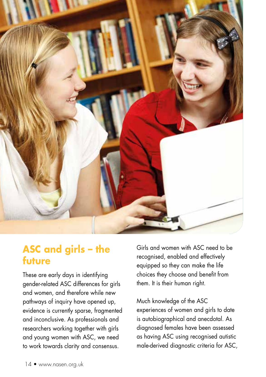

# **ASC and girls – the future**

These are early days in identifying gender-related ASC differences for girls and women, and therefore while new pathways of inquiry have opened up, evidence is currently sparse, fragmented and inconclusive. As professionals and researchers working together with girls and young women with ASC, we need to work towards clarity and consensus.

Girls and women with ASC need to be recognised, enabled and effectively equipped so they can make the life choices they choose and benefit from them. It is their human right.

Much knowledge of the ASC experiences of women and girls to date is autobiographical and anecdotal. As diagnosed females have been assessed as having ASC using recognised autistic male-derived diagnostic criteria for ASC,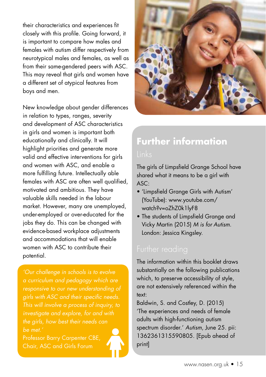their characteristics and experiences fit closely with this profile. Going forward, it is important to compare how males and females with autism differ respectively from neurotypical males and females, as well as from their same-gendered peers with ASC. This may reveal that girls and women have a different set of atypical features from boys and men.

New knowledge about gender differences in relation to types, ranges, severity and development of ASC characteristics in girls and women is important both educationally and clinically. It will highlight priorities and generate more valid and effective interventions for girls and women with ASC, and enable a more fulfilling future. Intellectually able females with ASC are often well qualified, motivated and ambitious. They have valuable skills needed in the labour market. However, many are unemployed, under-employed or over-educated for the jobs they do. This can be changed with evidence-based workplace adjustments and accommodations that will enable women with ASC to contribute their potential.

*'Our challenge in schools is to evolve a curriculum and pedagogy which are responsive to our new understanding of girls with ASC and their specific needs. This will involve a process of inquiry, to investigate and explore, for and with the girls, how best their needs can be met.'*

Professor Barry Carpenter CBE, Chair, ASC and Girls Forum



# **Further information**

The girls of Limpsfield Grange School have shared what it means to be a girl with ASC:

- 'Limpsfield Grange Girls with Autism' (YouTube): www.youtube.com/ watch?v=oZhZ0k1lyF8
- The students of Limpsfield Grange and Vicky Martin (2015) *M is for Autism.* London: Jessica Kingsley.

The information within this booklet draws substantially on the following publications which, to preserve accessibility of style, are not extensively referenced within the text:

Baldwin, S. and Costley, D. (2015) 'The experiences and needs of female adults with high-functioning autism spectrum disorder.' *Autism*, June 25. pii: 1362361315590805. [Epub ahead of print]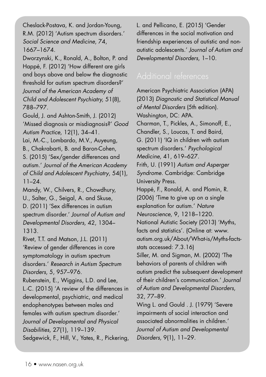Cheslack-Postava, K. and Jordan-Young, R.M. (2012) 'Autism spectrum disorders.' *Social Science and Medicine*, 74, 1667–1674.

Dworzynski, K., Ronald, A., Bolton, P. and Happé, F. (2012) 'How different are girls and boys above and below the diagnostic threshold for autism spectrum disorders?' *Journal of the American Academy of Child and Adolescent Psychiatry,* 51(8), 788–797.

Gould, J. and Ashton-Smith, J. (2012) 'Missed diagnosis or misdiagnosis?' *Good Autism Practice,* 12(1), 34–41.

Lai, M.-C., Lombardo, M.V., Auyeung, B., Chakrabarti, B. and Baron-Cohen, S. (2015) 'Sex/gender differences and autism.' *Journal of the American Academy of Child and Adolescent Psychiatry*, 54(1), 11–24.

Mandy, W., Chilvers, R., Chowdhury, U., Salter, G., Seigal, A. and Skuse, D. (2011) 'Sex differences in autism spectrum disorder.' *Journal of Autism and Developmental Disorders,* 42, 1304– 1313.

Rivet, T.T. and Matson, J.L. (2011) 'Review of gender differences in core symptomatology in autism spectrum disorders.' *Research in Autism Spectrum Disorders,* 5, 957–976.

Rubenstein, E., Wiggins, L.D. and Lee, L.-C. (2015) 'A review of the differences in developmental, psychiatric, and medical endophenotypes between males and females with autism spectrum disorder.' *Journal of Developmental and Physical Disabilities,* 27(1), 119–139. Sedgewick, F., Hill, V., Yates, R., Pickering, L. and Pellicano, E. (2015) 'Gender differences in the social motivation and friendship experiences of autistic and nonautistic adolescents.' *Journal of Autism and Developmental Disorders,* 1–10.

American Psychiatric Association (APA) (2013) *Diagnostic and Statistical Manual of Mental Disorders* (5th edition). Washington, DC: APA. Charman, T., Pickles, A., Simonoff, E., Chandler, S., Loucas, T. and Baird, G. (2011) 'IQ in children with autism spectrum disorders.' *Psychological Medicine,* 41, 619–627. Frith, U. (1991) *Autism and Asperger Syndrome.* Cambridge: Cambridge University Press. Happé, F., Ronald, A. and Plomin, R. (2006) 'Time to give up on a single explanation for autism.' *Nature Neuroscience,* 9, 1218–1220. National Autistic Society (2013) 'Myths, facts and statistics'. (Online at: www. autism.org.uk/About/What-is/Myths-factsstats accessed: 7.3.16) Siller, M. and Sigman, M. (2002) 'The behaviors of parents of children with autism predict the subsequent development of their children's communication.' *Journal of Autism and Developmental Disorders,* 32, 77–89. Wing L. and Gould . J. (1979) 'Severe

impairments of social interaction and associated abnormalities in children.' *Journal of Autism and Developmental Disorders,* 9(1), 11–29.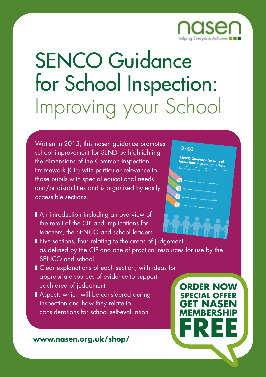

# SENCO Guidance for School Inspection: Improving your School

Written in 2015, this nasen guidance promotes school improvement for SEND by highlighting the dimensions of the Common Inspection Framework (CIF) with particular relevance to those pupils with special educational needs and/or disabilities and is organised by easily accessible sections.

■ An introduction including an overview of the remit of the CIF and implications for teachers, the SENCO and school leaders





■ Five sections, four relating to the areas of judgement as defined by the CIF and one of practical resources for use by the SENCO and school

- Clear explanations of each section, with ideas for appropriate sources of evidence to support each area of judgement
- Aspects which will be considered during inspection and how they relate to considerations for school self-evaluation

**www.nasen.org.uk/shop/**

**ORDER NOW SPECIAL OFFER GET NASEN MEMBERSHIP FREE**